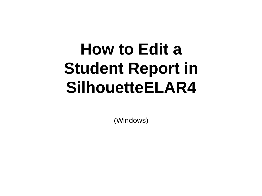## **How to Edit a Student Report in SilhouetteELAR4**

(Windows)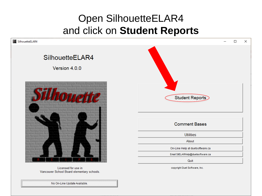## Open SilhouetteELAR4 and click on **Student Reports**

| 4 SilhouetteELAR4            | $\times$<br>$\Box$                |
|------------------------------|-----------------------------------|
| SilhouetteELAR4              |                                   |
| Version 4.0.0                |                                   |
|                              | Student Reports                   |
|                              | <b>Comment Bases</b>              |
|                              | <b>Utilities</b>                  |
|                              | About                             |
|                              | On-Line Help at duets oftware.ca  |
|                              | Email SilELARHelp@duetsoftware.ca |
|                              | Quit                              |
| This company for the company | conveight Dust Coffware, Inc.     |

Licensed for use in Vancouver School Board elementary schools. copyright Duet Software, Inc.

No On-Line Update Available.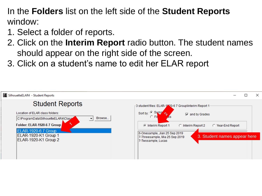In the **Folders** list on the left side of the **Student Reports**  window:

- 1. Select a folder of reports.
- 2. Click on the **Interim Report** radio button. The student names should appear on the right side of the screen.
- 3. Click on a student's name to edit her ELAR report

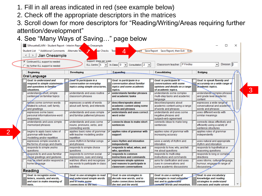- 1. Fill in all areas indicated in red (see example below)
- 2. Check off the appropriate descriptors in the matrices
- 3. Scroll down for more descriptors for "Reading/Writing/Areas requiring further attention/development"
- 4. See "Many Ways of Saving…" page below

| Jian Onesample<br>$\leq$ 1<br>$\, > \,$<br>C Continued ELL support is needed<br>No further ELL support is needed | Support: times per week<br>ELL Centre: 5                                                  | $In-Class: 0 \quad \rightarrow$<br>Consultation: $2 - 7$<br>$\vert \cdot \vert$           | Classroom teacher: P Findlay                                                                                        | Division: 2<br>$\blacktriangledown$                                                      |  |
|------------------------------------------------------------------------------------------------------------------|-------------------------------------------------------------------------------------------|-------------------------------------------------------------------------------------------|---------------------------------------------------------------------------------------------------------------------|------------------------------------------------------------------------------------------|--|
| <b>Beginning</b>                                                                                                 | Developing                                                                                | Expanding                                                                                 | Consolidating                                                                                                       | <b>Bridging</b>                                                                          |  |
| <b>Oral Language</b><br><b>Goal: to understand and</b><br>respond to simple statements                           | Geal: to participate in a<br>conversation on everyday                                     | Goal: to participate in a<br>conversation about familiar                                  | <b>Goal: to participate in</b><br>conversations with some                                                           | Goal: to speak fluently and<br>accurately on a wide range of                             |  |
| and questions in familiar<br>situations.<br>understands short, simple<br>sentences on familiar topics            | topics using simple structures.<br>understands and uses routine<br>classroom phrases      | topics and some academic<br>topics.<br>understands familiar phrases<br>and academic tasks | opinions and details on a range<br>of academic topics.<br>understands some complex<br>multi-step tasks and academic | academic topics.<br>understands complex phrases<br>and grade level asademic              |  |
| knóws some common words<br>related to school, self, family,<br>and greetings                                     | expresses a variety of words<br>about self, family, and interests                         | describes/speaks about<br>☞<br>academic content using some<br>words and phrases           | language<br>describes/speaks about<br>academic content using a range<br>of words and phrases                        | content<br>expresses a wide range of<br>conversational and academic<br>words and phrases |  |
| expresses some basic<br>personal information/one-word<br>responses                                               | understands and uses simple<br>and familiar patterned phrases                             | understands and uses correct<br>word order                                                | understands and uses some<br>negative phrases and<br>subject-verb-agreement                                         | uses different words with<br>similar meanings                                            |  |
| understands and uses simple<br>memorized phrases                                                                 | understands and uses some<br>nouns, pronouns, verbs, and<br>connecting words              | connects ideas to make short<br>sentences                                                 | connects ideas to make long<br>sentences                                                                            | connects ideas effectively and<br>efficiently using a variety of<br>sentence structures  |  |
| begins to apply basic rules of<br>grammar with teacher<br>modelling and/or repetition                            | applies basic rules of grammar<br>with teacher modelling and/or<br>repetition             | applies rules of grammar with<br>support                                                  | applies rules of grammar with<br>increasing accuracy                                                                | applies rules of grammar<br>independently                                                |  |
| expresses simple sounds in<br>the forms of songs and chants                                                      | uses rhythm in familiar songs<br>and phrases                                              | uses rhythm and intonation<br>⊽<br>independently                                          | uses a variety of rhythm and<br>intonation                                                                          | uses natural and appropriate<br>rhythm and intonation                                    |  |
| responds to simple yes/no<br>questions                                                                           | responds to simple choice<br>questions                                                    | responds to what, when, and<br>who, questions                                             | responds to how, why, and tell<br>me about questions                                                                | responds to hypothetical or<br>reasoning questions                                       |  |
| vesponds to and uses familiar<br>social greetings and gestures<br>may be silent and/or respond in                | responds to common social<br>expressions, cues and slang<br>watches others and recognizes | responds to common<br>instructions and commands<br>expresses simple opinions              | responds to multi-step<br>instructions and commands<br>asks for clarification and uses                              | responds to long or complex<br>directions<br>uses idioms, cultural/fanguage,             |  |
| home language                                                                                                    | key words to participate in class<br>activities                                           | and reasons to participate in<br>classroom conversations                                  | cues in conversations and<br>some academic discussions                                                              | humour; engages in range of<br>discussions                                               |  |
| <b>Reading</b>                                                                                                   |                                                                                           |                                                                                           |                                                                                                                     |                                                                                          |  |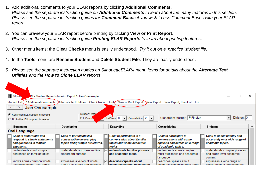- 1. Add additional comments to your ELAR reports by clicking **Additional Comments.** *Please see the separate instruction guide on Additional Comments to learn about the many features in this section. Please see the separate instruction guides for Comment Bases if you wish to use Comment Bases with your ELAR report.*
- 2. You can preview your ELAR report before printing by clicking **View or Print Report**. *Please see the separate instruction guide Printing ELAR Reports to learn about printing features*.
- 3. Other menu items: the **Clear Checks** menu is easily understood*. Try it out on a 'practice' student file.*
- 4. In the **Tools** menu are **Rename Student** and **Delete Student File**. They are easily understood.
- *5. Please see the separate instruction guides on SilhouetteELAR4 menu items for details about the Alternate Text Utilities and the How to Clone ELAR reports.*

| 4 Silhour<br><b>Student List</b>                                                                           |            | R4 - Student Report - Interim Report 1: Jian Onesample<br>Additional Comments DAIternate Text Utilities Clear Checks |   | <b>View or Print Report</b><br>Tools<br>Save Report                                             |  | Save Report, then Exit Exit                                                                                    |  |                                                                                  |   |  |
|------------------------------------------------------------------------------------------------------------|------------|----------------------------------------------------------------------------------------------------------------------|---|-------------------------------------------------------------------------------------------------|--|----------------------------------------------------------------------------------------------------------------|--|----------------------------------------------------------------------------------|---|--|
| Jian Onesample<br>$\leq$ 1<br>—>                                                                           |            |                                                                                                                      |   |                                                                                                 |  |                                                                                                                |  |                                                                                  |   |  |
| C Continued ELL support is needed<br>C No further ELL support is needed                                    |            | Support: times<br><b>ELL Centre.</b>                                                                                 |   | $In-Class: 0$<br>Consultation: $2 - 1$                                                          |  | $\mathsf{P}$ Findlay<br>Classroom teacher:                                                                     |  | Division: 2<br>$\overline{\phantom{a}}$                                          |   |  |
| <b>Beginning</b>                                                                                           | Developing |                                                                                                                      |   | Expanding                                                                                       |  | Consolidating                                                                                                  |  | <b>Bridging</b>                                                                  | ^ |  |
| <b>Oral Language</b>                                                                                       |            |                                                                                                                      |   |                                                                                                 |  |                                                                                                                |  |                                                                                  |   |  |
| <b>Goal: to understand and</b><br>respond to simple statements<br>and questions in familiar<br>situations. |            | Goal: to participate in a<br>conversation on everyday<br>topics using simple structures.                             |   | Goal: to participate in a<br>conversation about familiar<br>topics and some academic<br>topics. |  | Goal: to participate in<br>conversations with some<br>opinions and details on a range  <br>of academic topics. |  | Goal: to speak fluently and<br>accurately on a wide range of<br>academic topics. |   |  |
| understands short, simple<br>sentences on familiar topics                                                  |            | understands and uses routine<br>classroom phrases                                                                    | ⊽ | understands familiar phrases<br>and academic tasks                                              |  | understands some complex<br>multi-step tasks and academic<br>language                                          |  | understands complex phrases<br>and grade level academic<br>content               |   |  |
| knows some common words<br>Irelated to school, self, family                                                |            | expresses a variety of words<br>about self family and interests                                                      |   | $\sqrt{\phantom{a}}$ describes/speaks about<br>academic content using some                      |  | describes/speaks about<br>academic content using a range.                                                      |  | expresses a wide range of<br>conversational and academic.                        |   |  |